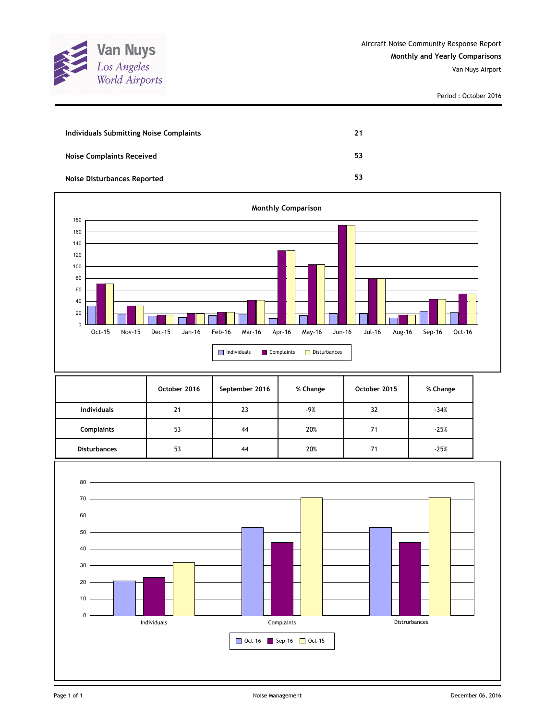

| Individuals Submitting Noise Complaints | 21 |
|-----------------------------------------|----|
| <b>Noise Complaints Received</b>        | 53 |
| <b>Noise Disturbances Reported</b>      | 53 |



|                     | October 2016 | September 2016 | % Change | October 2015 | % Change |
|---------------------|--------------|----------------|----------|--------------|----------|
| <b>Individuals</b>  | 21           | 23             | -9%      | 32           | $-34%$   |
| <b>Complaints</b>   | 53           | 44             | 20%      | 71           | $-25%$   |
| <b>Disturbances</b> | 53           | 44             | 20%      | 71           | $-25%$   |

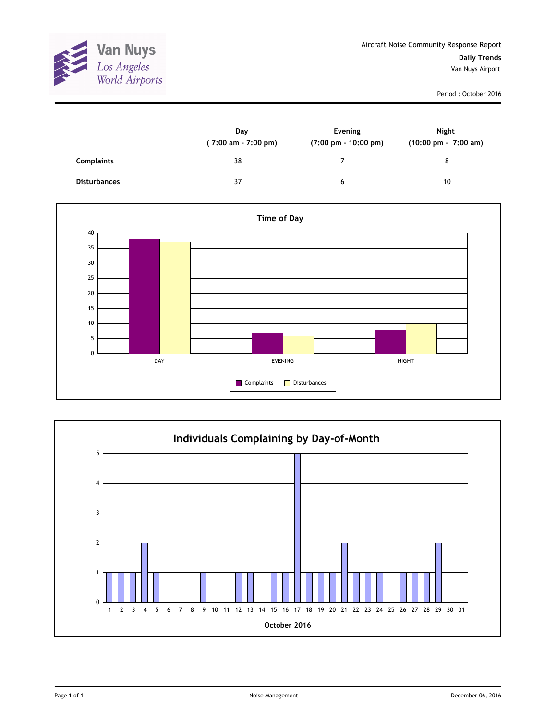

|                     | Day<br>$(7:00 \text{ am} - 7:00 \text{ pm})$ | Evening<br>$(7:00 \text{ pm} - 10:00 \text{ pm})$ | <b>Night</b><br>(10:00 pm - 7:00 am) |
|---------------------|----------------------------------------------|---------------------------------------------------|--------------------------------------|
| <b>Complaints</b>   | 38                                           | ⇁                                                 | 8                                    |
| <b>Disturbances</b> | 37                                           | 6                                                 | 10                                   |



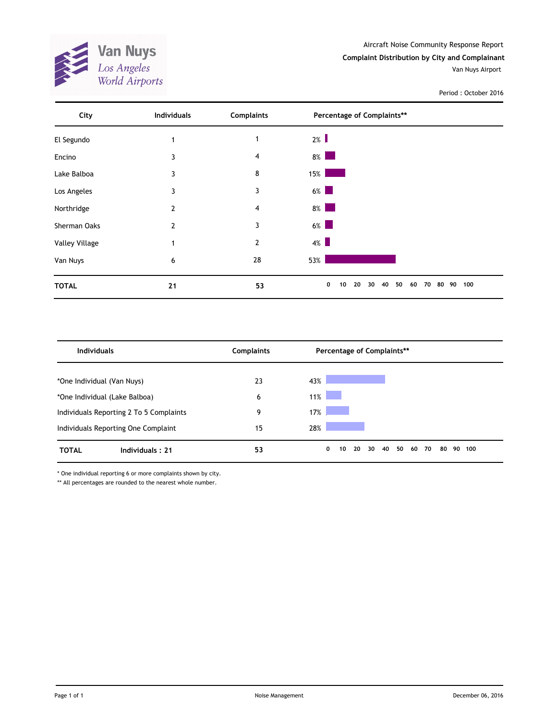Aircraft Noise Community Response Report **Complaint Distribution by City and Complainant**

Van Nuys Airport



| City           | <b>Individuals</b> | <b>Complaints</b> | Percentage of Complaints**                           |     |
|----------------|--------------------|-------------------|------------------------------------------------------|-----|
| El Segundo     | $\mathbf{1}$       | 1                 | $2\%$                                                |     |
| Encino         | 3                  | 4                 | $8\%$                                                |     |
| Lake Balboa    | 3                  | 8                 | 15%                                                  |     |
| Los Angeles    | 3                  | 3                 | $6\%$                                                |     |
| Northridge     | 2                  | 4                 | $8\%$                                                |     |
| Sherman Oaks   | $\overline{2}$     | 3                 | $6\%$                                                |     |
| Valley Village | $\mathbf{1}$       | 2                 | $4\%$                                                |     |
| Van Nuys       | 6                  | 28                | 53%                                                  |     |
| <b>TOTAL</b>   | 21                 | 53                | 50<br>0<br>20<br>40<br>80 90<br>10<br>30<br>60<br>70 | 100 |

| <b>Individuals</b>                      | <b>Complaints</b> | Percentage of Complaints**                                     |  |
|-----------------------------------------|-------------------|----------------------------------------------------------------|--|
| *One Individual (Van Nuys)              | 23                | 43%                                                            |  |
| *One Individual (Lake Balboa)           | 6                 | 11%                                                            |  |
| Individuals Reporting 2 To 5 Complaints | 9                 | 17%                                                            |  |
| Individuals Reporting One Complaint     | 15                | 28%                                                            |  |
| Individuals: 21<br><b>TOTAL</b>         | 53                | 50<br>30<br>80<br>0<br>20<br>40<br>60<br>70<br>90<br>100<br>10 |  |

\* One individual reporting 6 or more complaints shown by city.

\*\* All percentages are rounded to the nearest whole number.

**Van Nuys**<br>Los Angeles<br>World Airports

E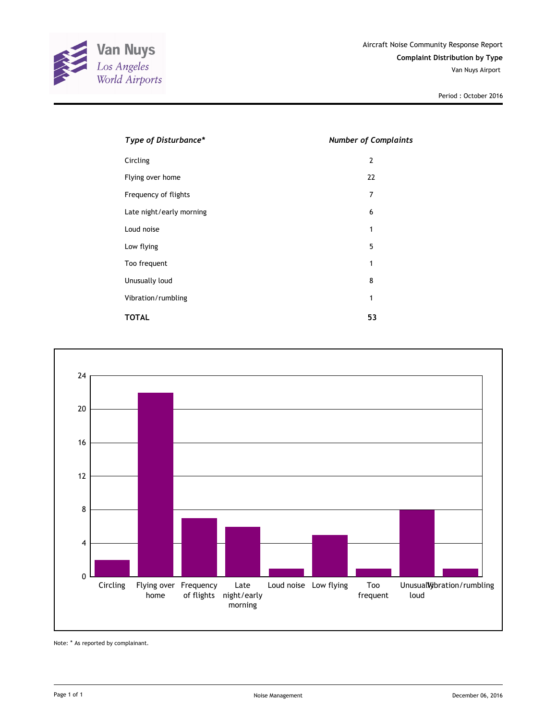

| Type of Disturbance*     | <b>Number of Complaints</b> |
|--------------------------|-----------------------------|
| Circling                 | $\overline{2}$              |
| Flying over home         | 22                          |
| Frequency of flights     | 7                           |
| Late night/early morning | 6                           |
| Loud noise               | 1                           |
| Low flying               | 5                           |
| Too frequent             | 1                           |
| Unusually loud           | 8                           |
| Vibration/rumbling       | 1                           |
| <b>TOTAL</b>             | 53                          |



Note: \* As reported by complainant.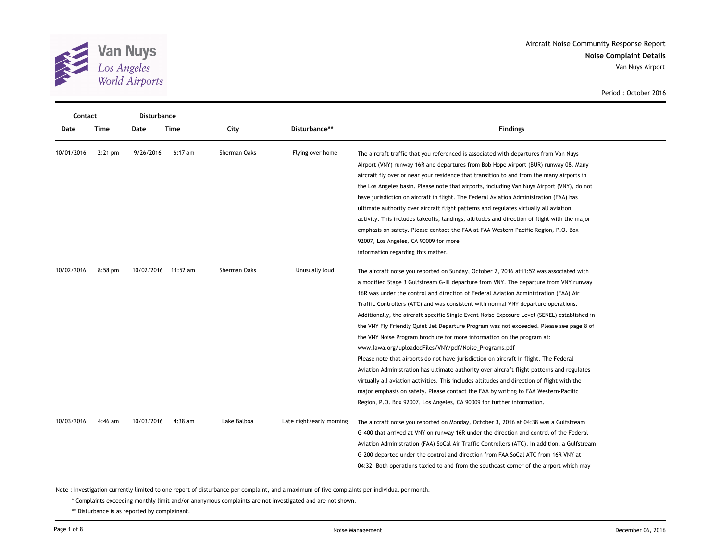

| Contact    |           | <b>Disturbance</b> |                     |              |                          |                                                                                                                                                                                                                                                                                                                                                                                                                                                                                                                                                                                                                                                                                                                                                                                                                                                                                                                                                                                                                                                                                                                                                    |  |
|------------|-----------|--------------------|---------------------|--------------|--------------------------|----------------------------------------------------------------------------------------------------------------------------------------------------------------------------------------------------------------------------------------------------------------------------------------------------------------------------------------------------------------------------------------------------------------------------------------------------------------------------------------------------------------------------------------------------------------------------------------------------------------------------------------------------------------------------------------------------------------------------------------------------------------------------------------------------------------------------------------------------------------------------------------------------------------------------------------------------------------------------------------------------------------------------------------------------------------------------------------------------------------------------------------------------|--|
| Date       | Time      | Date               | Time                | City         | Disturbance**            | <b>Findings</b>                                                                                                                                                                                                                                                                                                                                                                                                                                                                                                                                                                                                                                                                                                                                                                                                                                                                                                                                                                                                                                                                                                                                    |  |
| 10/01/2016 | $2:21$ pm | 9/26/2016          | $6:17$ am           | Sherman Oaks | Flying over home         | The aircraft traffic that you referenced is associated with departures from Van Nuys<br>Airport (VNY) runway 16R and departures from Bob Hope Airport (BUR) runway 08. Many<br>aircraft fly over or near your residence that transition to and from the many airports in<br>the Los Angeles basin. Please note that airports, including Van Nuys Airport (VNY), do not<br>have jurisdiction on aircraft in flight. The Federal Aviation Administration (FAA) has<br>ultimate authority over aircraft flight patterns and regulates virtually all aviation<br>activity. This includes takeoffs, landings, altitudes and direction of flight with the major<br>emphasis on safety. Please contact the FAA at FAA Western Pacific Region, P.O. Box<br>92007, Los Angeles, CA 90009 for more<br>information regarding this matter.                                                                                                                                                                                                                                                                                                                     |  |
| 10/02/2016 | $8:58$ pm |                    | 10/02/2016 11:52 am | Sherman Oaks | Unusually loud           | The aircraft noise you reported on Sunday, October 2, 2016 at 11:52 was associated with<br>a modified Stage 3 Gulfstream G-III departure from VNY. The departure from VNY runway<br>16R was under the control and direction of Federal Aviation Administration (FAA) Air<br>Traffic Controllers (ATC) and was consistent with normal VNY departure operations.<br>Additionally, the aircraft-specific Single Event Noise Exposure Level (SENEL) established in<br>the VNY Fly Friendly Quiet Jet Departure Program was not exceeded. Please see page 8 of<br>the VNY Noise Program brochure for more information on the program at:<br>www.lawa.org/uploadedFiles/VNY/pdf/Noise Programs.pdf<br>Please note that airports do not have jurisdiction on aircraft in flight. The Federal<br>Aviation Administration has ultimate authority over aircraft flight patterns and regulates<br>virtually all aviation activities. This includes altitudes and direction of flight with the<br>major emphasis on safety. Please contact the FAA by writing to FAA Western-Pacific<br>Region, P.O. Box 92007, Los Angeles, CA 90009 for further information. |  |
| 10/03/2016 | $4:46$ am | 10/03/2016         | $4:38$ am           | Lake Balboa  | Late night/early morning | The aircraft noise you reported on Monday, October 3, 2016 at 04:38 was a Gulfstream<br>G-400 that arrived at VNY on runway 16R under the direction and control of the Federal<br>Aviation Administration (FAA) SoCal Air Traffic Controllers (ATC). In addition, a Gulfstream<br>G-200 departed under the control and direction from FAA SoCal ATC from 16R VNY at<br>04:32. Both operations taxied to and from the southeast corner of the airport which may                                                                                                                                                                                                                                                                                                                                                                                                                                                                                                                                                                                                                                                                                     |  |

Note : Investigation currently limited to one report of disturbance per complaint, and a maximum of five complaints per individual per month.

\* Complaints exceeding monthly limit and/or anonymous complaints are not investigated and are not shown.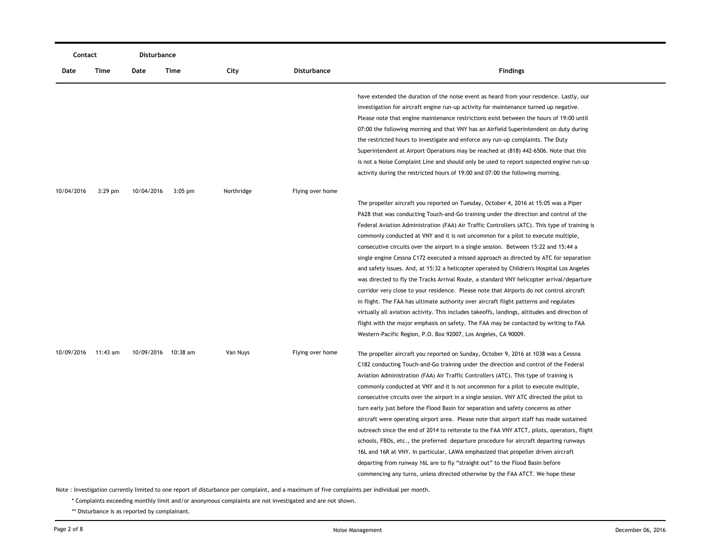| Contact    |           | Disturbance |                     |            |                    |                                                                                               |
|------------|-----------|-------------|---------------------|------------|--------------------|-----------------------------------------------------------------------------------------------|
| Date       | Time      | Date        | Time                | City       | <b>Disturbance</b> | <b>Findings</b>                                                                               |
|            |           |             |                     |            |                    | have extended the duration of the noise event as heard from your residence. Lastly, our       |
|            |           |             |                     |            |                    | investigation for aircraft engine run-up activity for maintenance turned up negative.         |
|            |           |             |                     |            |                    | Please note that engine maintenance restrictions exist between the hours of 19:00 until       |
|            |           |             |                     |            |                    | 07:00 the following morning and that VNY has an Airfield Superintendent on duty during        |
|            |           |             |                     |            |                    | the restricted hours to investigate and enforce any run-up complaints. The Duty               |
|            |           |             |                     |            |                    | Superintendent at Airport Operations may be reached at (818) 442-6506. Note that this         |
|            |           |             |                     |            |                    | is not a Noise Complaint Line and should only be used to report suspected engine run-up       |
|            |           |             |                     |            |                    | activity during the restricted hours of 19:00 and 07:00 the following morning.                |
| 10/04/2016 | $3:29$ pm | 10/04/2016  | $3:05$ pm           | Northridge | Flying over home   |                                                                                               |
|            |           |             |                     |            |                    | The propeller aircraft you reported on Tuesday, October 4, 2016 at 15:05 was a Piper          |
|            |           |             |                     |            |                    | PA28 that was conducting Touch-and-Go training under the direction and control of the         |
|            |           |             |                     |            |                    | Federal Aviation Administration (FAA) Air Traffic Controllers (ATC). This type of training is |
|            |           |             |                     |            |                    | commonly conducted at VNY and it is not uncommon for a pilot to execute multiple,             |
|            |           |             |                     |            |                    | consecutive circuits over the airport in a single session. Between 15:22 and 15:44 a          |
|            |           |             |                     |            |                    | single engine Cessna C172 executed a missed approach as directed by ATC for separation        |
|            |           |             |                     |            |                    | and safety issues. And, at 15:32 a helicopter operated by Children's Hospital Los Angeles     |
|            |           |             |                     |            |                    | was directed to fly the Tracks Arrival Route, a standard VNY helicopter arrival/departure     |
|            |           |             |                     |            |                    | corridor very close to your residence. Please note that Airports do not control aircraft      |
|            |           |             |                     |            |                    | in flight. The FAA has ultimate authority over aircraft flight patterns and regulates         |
|            |           |             |                     |            |                    | virtually all aviation activity. This includes takeoffs, landings, altitudes and direction of |
|            |           |             |                     |            |                    | flight with the major emphasis on safety. The FAA may be contacted by writing to FAA          |
|            |           |             |                     |            |                    | Western-Pacific Region, P.O. Box 92007, Los Angeles, CA 90009.                                |
| 10/09/2016 | 11:43 am  |             | 10/09/2016 10:38 am | Van Nuys   | Flying over home   | The propeller aircraft you reported on Sunday, October 9, 2016 at 1038 was a Cessna           |
|            |           |             |                     |            |                    | C182 conducting Touch-and-Go training under the direction and control of the Federal          |
|            |           |             |                     |            |                    | Aviation Administration (FAA) Air Traffic Controllers (ATC). This type of training is         |
|            |           |             |                     |            |                    | commonly conducted at VNY and it is not uncommon for a pilot to execute multiple,             |
|            |           |             |                     |            |                    | consecutive circuits over the airport in a single session. VNY ATC directed the pilot to      |
|            |           |             |                     |            |                    | turn early just before the Flood Basin for separation and safety concerns as other            |
|            |           |             |                     |            |                    | aircraft were operating airport area. Please note that airport staff has made sustained       |
|            |           |             |                     |            |                    | outreach since the end of 2014 to reiterate to the FAA VNY ATCT, pilots, operators, flight    |
|            |           |             |                     |            |                    | schools, FBOs, etc., the preferred departure procedure for aircraft departing runways         |
|            |           |             |                     |            |                    | 16L and 16R at VNY. In particular, LAWA emphasized that propeller driven aircraft             |
|            |           |             |                     |            |                    | departing from runway 16L are to fly "straight out" to the Flood Basin before                 |
|            |           |             |                     |            |                    | commencing any turns, unless directed otherwise by the FAA ATCT. We hope these                |
|            |           |             |                     |            |                    |                                                                                               |

\* Complaints exceeding monthly limit and/or anonymous complaints are not investigated and are not shown.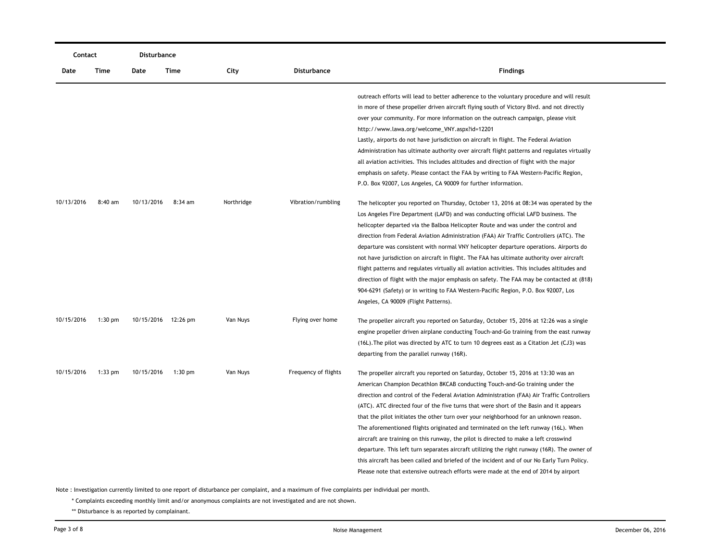| Contact    |           | Disturbance |                     |            |                      |                                                                                              |
|------------|-----------|-------------|---------------------|------------|----------------------|----------------------------------------------------------------------------------------------|
| Date       | Time      | Date        | Time                | City       | Disturbance          | <b>Findings</b>                                                                              |
|            |           |             |                     |            |                      | outreach efforts will lead to better adherence to the voluntary procedure and will result    |
|            |           |             |                     |            |                      | in more of these propeller driven aircraft flying south of Victory Blvd. and not directly    |
|            |           |             |                     |            |                      | over your community. For more information on the outreach campaign, please visit             |
|            |           |             |                     |            |                      | http://www.lawa.org/welcome_VNY.aspx?id=12201                                                |
|            |           |             |                     |            |                      | Lastly, airports do not have jurisdiction on aircraft in flight. The Federal Aviation        |
|            |           |             |                     |            |                      | Administration has ultimate authority over aircraft flight patterns and regulates virtually  |
|            |           |             |                     |            |                      | all aviation activities. This includes altitudes and direction of flight with the major      |
|            |           |             |                     |            |                      | emphasis on safety. Please contact the FAA by writing to FAA Western-Pacific Region,         |
|            |           |             |                     |            |                      | P.O. Box 92007, Los Angeles, CA 90009 for further information.                               |
| 10/13/2016 | 8:40 am   | 10/13/2016  | $8:34$ am           | Northridge | Vibration/rumbling   | The helicopter you reported on Thursday, October 13, 2016 at 08:34 was operated by the       |
|            |           |             |                     |            |                      | Los Angeles Fire Department (LAFD) and was conducting official LAFD business. The            |
|            |           |             |                     |            |                      | helicopter departed via the Balboa Helicopter Route and was under the control and            |
|            |           |             |                     |            |                      | direction from Federal Aviation Administration (FAA) Air Traffic Controllers (ATC). The      |
|            |           |             |                     |            |                      | departure was consistent with normal VNY helicopter departure operations. Airports do        |
|            |           |             |                     |            |                      | not have jurisdiction on aircraft in flight. The FAA has ultimate authority over aircraft    |
|            |           |             |                     |            |                      | flight patterns and regulates virtually all aviation activities. This includes altitudes and |
|            |           |             |                     |            |                      | direction of flight with the major emphasis on safety. The FAA may be contacted at (818)     |
|            |           |             |                     |            |                      | 904-6291 (Safety) or in writing to FAA Western-Pacific Region, P.O. Box 92007, Los           |
|            |           |             |                     |            |                      | Angeles, CA 90009 (Flight Patterns).                                                         |
| 10/15/2016 | $1:30$ pm |             | 10/15/2016 12:26 pm | Van Nuys   | Flying over home     | The propeller aircraft you reported on Saturday, October 15, 2016 at 12:26 was a single      |
|            |           |             |                     |            |                      | engine propeller driven airplane conducting Touch-and-Go training from the east runway       |
|            |           |             |                     |            |                      | (16L). The pilot was directed by ATC to turn 10 degrees east as a Citation Jet (CJ3) was     |
|            |           |             |                     |            |                      | departing from the parallel runway (16R).                                                    |
| 10/15/2016 | $1:33$ pm | 10/15/2016  | $1:30$ pm           | Van Nuys   | Frequency of flights | The propeller aircraft you reported on Saturday, October 15, 2016 at 13:30 was an            |
|            |           |             |                     |            |                      | American Champion Decathlon 8KCAB conducting Touch-and-Go training under the                 |
|            |           |             |                     |            |                      | direction and control of the Federal Aviation Administration (FAA) Air Traffic Controllers   |
|            |           |             |                     |            |                      | (ATC). ATC directed four of the five turns that were short of the Basin and it appears       |
|            |           |             |                     |            |                      | that the pilot initiates the other turn over your neighborhood for an unknown reason.        |
|            |           |             |                     |            |                      | The aforementioned flights originated and terminated on the left runway (16L). When          |
|            |           |             |                     |            |                      | aircraft are training on this runway, the pilot is directed to make a left crosswind         |
|            |           |             |                     |            |                      | departure. This left turn separates aircraft utilizing the right runway (16R). The owner of  |
|            |           |             |                     |            |                      | this aircraft has been called and briefed of the incident and of our No Early Turn Policy.   |
|            |           |             |                     |            |                      | Please note that extensive outreach efforts were made at the end of 2014 by airport          |
|            |           |             |                     |            |                      |                                                                                              |

\* Complaints exceeding monthly limit and/or anonymous complaints are not investigated and are not shown.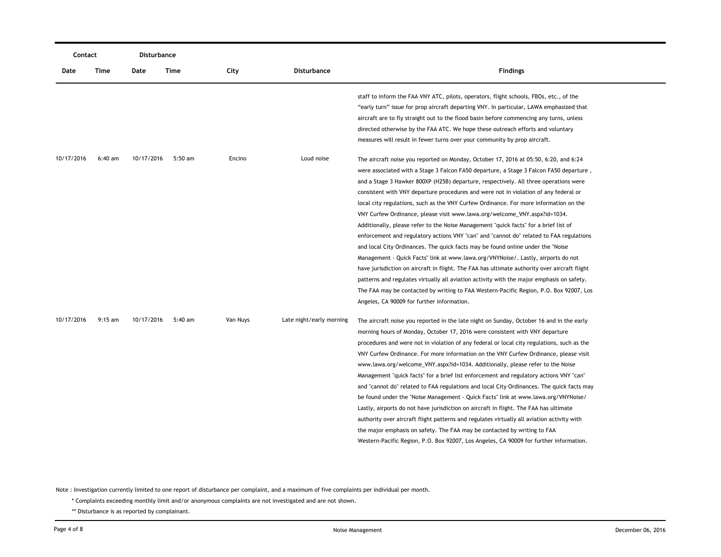| Contact    |           | Disturbance |           |          |                          |                                                                                                                                                                                                                                                                                                                                                                                                                                                                                                                                                                                                                                                                                                                                                                                                                                                                                                                                                                                                                                                                                                                                                                                                                                       |
|------------|-----------|-------------|-----------|----------|--------------------------|---------------------------------------------------------------------------------------------------------------------------------------------------------------------------------------------------------------------------------------------------------------------------------------------------------------------------------------------------------------------------------------------------------------------------------------------------------------------------------------------------------------------------------------------------------------------------------------------------------------------------------------------------------------------------------------------------------------------------------------------------------------------------------------------------------------------------------------------------------------------------------------------------------------------------------------------------------------------------------------------------------------------------------------------------------------------------------------------------------------------------------------------------------------------------------------------------------------------------------------|
| Date       | Time      | Date        | Time      | City     | <b>Disturbance</b>       | <b>Findings</b>                                                                                                                                                                                                                                                                                                                                                                                                                                                                                                                                                                                                                                                                                                                                                                                                                                                                                                                                                                                                                                                                                                                                                                                                                       |
|            |           |             |           |          |                          | staff to inform the FAA VNY ATC, pilots, operators, flight schools, FBOs, etc., of the<br>"early turn" issue for prop aircraft departing VNY. In particular, LAWA emphasized that<br>aircraft are to fly straight out to the flood basin before commencing any turns, unless<br>directed otherwise by the FAA ATC. We hope these outreach efforts and voluntary<br>measures will result in fewer turns over your community by prop aircraft.                                                                                                                                                                                                                                                                                                                                                                                                                                                                                                                                                                                                                                                                                                                                                                                          |
| 10/17/2016 | 6:40 am   | 10/17/2016  | $5:50$ am | Encino   | Loud noise               | The aircraft noise you reported on Monday, October 17, 2016 at 05:50, 6:20, and 6:24<br>were associated with a Stage 3 Falcon FA50 departure, a Stage 3 Falcon FA50 departure,<br>and a Stage 3 Hawker 800XP (H25B) departure, respectively. All three operations were<br>consistent with VNY departure procedures and were not in violation of any federal or<br>local city regulations, such as the VNY Curfew Ordinance. For more information on the<br>VNY Curfew Ordinance, please visit www.lawa.org/welcome_VNY.aspx?id=1034.<br>Additionally, please refer to the Noise Management "quick facts" for a brief list of<br>enforcement and regulatory actions VNY "can" and "cannot do" related to FAA regulations<br>and local City Ordinances. The quick facts may be found online under the "Noise"<br>Management - Quick Facts" link at www.lawa.org/VNYNoise/. Lastly, airports do not<br>have jurisdiction on aircraft in flight. The FAA has ultimate authority over aircraft flight<br>patterns and regulates virtually all aviation activity with the major emphasis on safety.<br>The FAA may be contacted by writing to FAA Western-Pacific Region, P.O. Box 92007, Los<br>Angeles, CA 90009 for further information. |
| 10/17/2016 | $9:15$ am | 10/17/2016  | 5:40 am   | Van Nuys | Late night/early morning | The aircraft noise you reported in the late night on Sunday, October 16 and in the early<br>morning hours of Monday, October 17, 2016 were consistent with VNY departure<br>procedures and were not in violation of any federal or local city regulations, such as the<br>VNY Curfew Ordinance. For more information on the VNY Curfew Ordinance, please visit<br>www.lawa.org/welcome_VNY.aspx?id=1034. Additionally, please refer to the Noise<br>Management "quick facts" for a brief list enforcement and regulatory actions VNY "can"<br>and "cannot do" related to FAA regulations and local City Ordinances. The quick facts may<br>be found under the "Noise Management - Quick Facts" link at www.lawa.org/VNYNoise/<br>Lastly, airports do not have jurisdiction on aircraft in flight. The FAA has ultimate<br>authority over aircraft flight patterns and regulates virtually all aviation activity with<br>the major emphasis on safety. The FAA may be contacted by writing to FAA<br>Western-Pacific Region, P.O. Box 92007, Los Angeles, CA 90009 for further information.                                                                                                                                            |

\* Complaints exceeding monthly limit and/or anonymous complaints are not investigated and are not shown.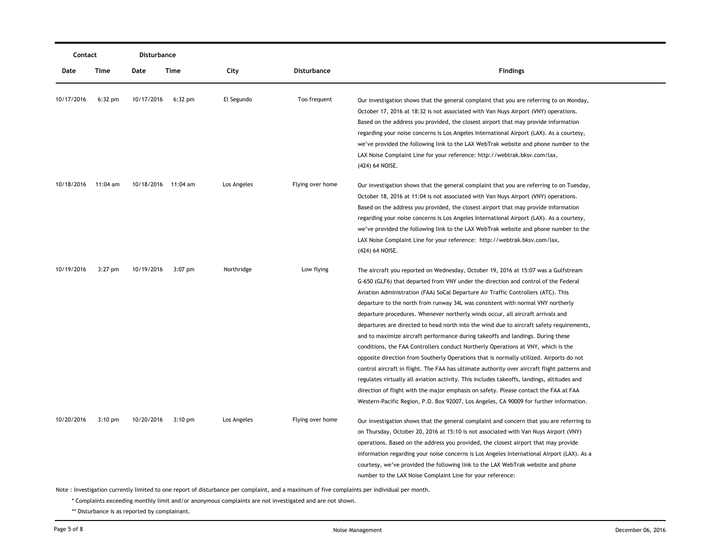|            | Contact           |            | <b>Disturbance</b>  |             |                  |                                                                                                                                                                                                                                                                                                                                                                                                                                                                                                                                                                                                                                                                                                                                                                                                                                                                                                                                                                                                                                                                                                                                                                                    |  |
|------------|-------------------|------------|---------------------|-------------|------------------|------------------------------------------------------------------------------------------------------------------------------------------------------------------------------------------------------------------------------------------------------------------------------------------------------------------------------------------------------------------------------------------------------------------------------------------------------------------------------------------------------------------------------------------------------------------------------------------------------------------------------------------------------------------------------------------------------------------------------------------------------------------------------------------------------------------------------------------------------------------------------------------------------------------------------------------------------------------------------------------------------------------------------------------------------------------------------------------------------------------------------------------------------------------------------------|--|
| Date       | Time              | Date       | Time                | City        | Disturbance      | <b>Findings</b>                                                                                                                                                                                                                                                                                                                                                                                                                                                                                                                                                                                                                                                                                                                                                                                                                                                                                                                                                                                                                                                                                                                                                                    |  |
| 10/17/2016 | $6:32$ pm         | 10/17/2016 | $6:32$ pm           | El Segundo  | Too frequent     | Our investigation shows that the general complaint that you are referring to on Monday,<br>October 17, 2016 at 18:32 is not associated with Van Nuys Airport (VNY) operations.<br>Based on the address you provided, the closest airport that may provide information<br>regarding your noise concerns is Los Angeles International Airport (LAX). As a courtesy,<br>we've provided the following link to the LAX WebTrak website and phone number to the<br>LAX Noise Complaint Line for your reference: http://webtrak.bksv.com/lax,<br>(424) 64 NOISE.                                                                                                                                                                                                                                                                                                                                                                                                                                                                                                                                                                                                                          |  |
| 10/18/2016 | 11:04 am          |            | 10/18/2016 11:04 am | Los Angeles | Flying over home | Our investigation shows that the general complaint that you are referring to on Tuesday,<br>October 18, 2016 at 11:04 is not associated with Van Nuys Airport (VNY) operations.<br>Based on the address you provided, the closest airport that may provide information<br>regarding your noise concerns is Los Angeles International Airport (LAX). As a courtesy,<br>we've provided the following link to the LAX WebTrak website and phone number to the<br>LAX Noise Complaint Line for your reference: http://webtrak.bksv.com/lax,<br>(424) 64 NOISE.                                                                                                                                                                                                                                                                                                                                                                                                                                                                                                                                                                                                                         |  |
| 10/19/2016 | $3:27$ pm         | 10/19/2016 | $3:07$ pm           | Northridge  | Low flying       | The aircraft you reported on Wednesday, October 19, 2016 at 15:07 was a Gulfstream<br>G-650 (GLF6) that departed from VNY under the direction and control of the Federal<br>Aviation Administration (FAA) SoCal Departure Air Traffic Controllers (ATC). This<br>departure to the north from runway 34L was consistent with normal VNY northerly<br>departure procedures. Whenever northerly winds occur, all aircraft arrivals and<br>departures are directed to head north into the wind due to aircraft safety requirements,<br>and to maximize aircraft performance during takeoffs and landings. During these<br>conditions, the FAA Controllers conduct Northerly Operations at VNY, which is the<br>opposite direction from Southerly Operations that is normally utilized. Airports do not<br>control aircraft in flight. The FAA has ultimate authority over aircraft flight patterns and<br>regulates virtually all aviation activity. This includes takeoffs, landings, altitudes and<br>direction of flight with the major emphasis on safety. Please contact the FAA at FAA<br>Western-Pacific Region, P.O. Box 92007, Los Angeles, CA 90009 for further information. |  |
| 10/20/2016 | $3:10 \text{ pm}$ | 10/20/2016 | $3:10 \text{ pm}$   | Los Angeles | Flying over home | Our investigation shows that the general complaint and concern that you are referring to<br>on Thursday, October 20, 2016 at 15:10 is not associated with Van Nuys Airport (VNY)<br>operations. Based on the address you provided, the closest airport that may provide<br>information regarding your noise concerns is Los Angeles International Airport (LAX). As a<br>courtesy, we've provided the following link to the LAX WebTrak website and phone<br>number to the LAX Noise Complaint Line for your reference:                                                                                                                                                                                                                                                                                                                                                                                                                                                                                                                                                                                                                                                            |  |

\* Complaints exceeding monthly limit and/or anonymous complaints are not investigated and are not shown.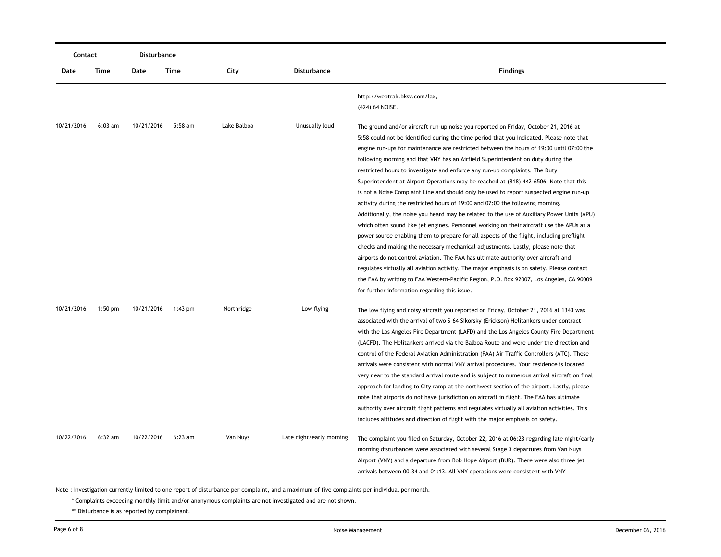| Contact    |           | Disturbance |           |             |                          |                                                                                                                                                                                                                                                                                                                                                                                                                                                                                                                                                                                                                                                                                                                                                                                                                                                                                                                                                                                                                                                                                                                                                                                                                                                                                                                                                                                                                                 |
|------------|-----------|-------------|-----------|-------------|--------------------------|---------------------------------------------------------------------------------------------------------------------------------------------------------------------------------------------------------------------------------------------------------------------------------------------------------------------------------------------------------------------------------------------------------------------------------------------------------------------------------------------------------------------------------------------------------------------------------------------------------------------------------------------------------------------------------------------------------------------------------------------------------------------------------------------------------------------------------------------------------------------------------------------------------------------------------------------------------------------------------------------------------------------------------------------------------------------------------------------------------------------------------------------------------------------------------------------------------------------------------------------------------------------------------------------------------------------------------------------------------------------------------------------------------------------------------|
| Date       | Time      | Date        | Time      | City        | <b>Disturbance</b>       | <b>Findings</b>                                                                                                                                                                                                                                                                                                                                                                                                                                                                                                                                                                                                                                                                                                                                                                                                                                                                                                                                                                                                                                                                                                                                                                                                                                                                                                                                                                                                                 |
|            |           |             |           |             |                          | http://webtrak.bksv.com/lax,<br>(424) 64 NOISE.                                                                                                                                                                                                                                                                                                                                                                                                                                                                                                                                                                                                                                                                                                                                                                                                                                                                                                                                                                                                                                                                                                                                                                                                                                                                                                                                                                                 |
| 10/21/2016 | $6:03$ am | 10/21/2016  | $5:58$ am | Lake Balboa | Unusually loud           | The ground and/or aircraft run-up noise you reported on Friday, October 21, 2016 at<br>5:58 could not be identified during the time period that you indicated. Please note that<br>engine run-ups for maintenance are restricted between the hours of 19:00 until 07:00 the<br>following morning and that VNY has an Airfield Superintendent on duty during the<br>restricted hours to investigate and enforce any run-up complaints. The Duty<br>Superintendent at Airport Operations may be reached at (818) 442-6506. Note that this<br>is not a Noise Complaint Line and should only be used to report suspected engine run-up<br>activity during the restricted hours of 19:00 and 07:00 the following morning.<br>Additionally, the noise you heard may be related to the use of Auxiliary Power Units (APU)<br>which often sound like jet engines. Personnel working on their aircraft use the APUs as a<br>power source enabling them to prepare for all aspects of the flight, including preflight<br>checks and making the necessary mechanical adjustments. Lastly, please note that<br>airports do not control aviation. The FAA has ultimate authority over aircraft and<br>regulates virtually all aviation activity. The major emphasis is on safety. Please contact<br>the FAA by writing to FAA Western-Pacific Region, P.O. Box 92007, Los Angeles, CA 90009<br>for further information regarding this issue. |
| 10/21/2016 | $1:50$ pm | 10/21/2016  | $1:43$ pm | Northridge  | Low flying               | The low flying and noisy aircraft you reported on Friday, October 21, 2016 at 1343 was<br>associated with the arrival of two S-64 Sikorsky (Erickson) Helitankers under contract<br>with the Los Angeles Fire Department (LAFD) and the Los Angeles County Fire Department<br>(LACFD). The Helitankers arrived via the Balboa Route and were under the direction and<br>control of the Federal Aviation Administration (FAA) Air Traffic Controllers (ATC). These<br>arrivals were consistent with normal VNY arrival procedures. Your residence is located<br>very near to the standard arrival route and is subject to numerous arrival aircraft on final<br>approach for landing to City ramp at the northwest section of the airport. Lastly, please<br>note that airports do not have jurisdiction on aircraft in flight. The FAA has ultimate<br>authority over aircraft flight patterns and regulates virtually all aviation activities. This<br>includes altitudes and direction of flight with the major emphasis on safety.                                                                                                                                                                                                                                                                                                                                                                                           |
| 10/22/2016 | $6:32$ am | 10/22/2016  | $6:23$ am | Van Nuys    | Late night/early morning | The complaint you filed on Saturday, October 22, 2016 at 06:23 regarding late night/early<br>morning disturbances were associated with several Stage 3 departures from Van Nuys<br>Airport (VNY) and a departure from Bob Hope Airport (BUR). There were also three jet<br>arrivals between 00:34 and 01:13. All VNY operations were consistent with VNY                                                                                                                                                                                                                                                                                                                                                                                                                                                                                                                                                                                                                                                                                                                                                                                                                                                                                                                                                                                                                                                                        |

\* Complaints exceeding monthly limit and/or anonymous complaints are not investigated and are not shown.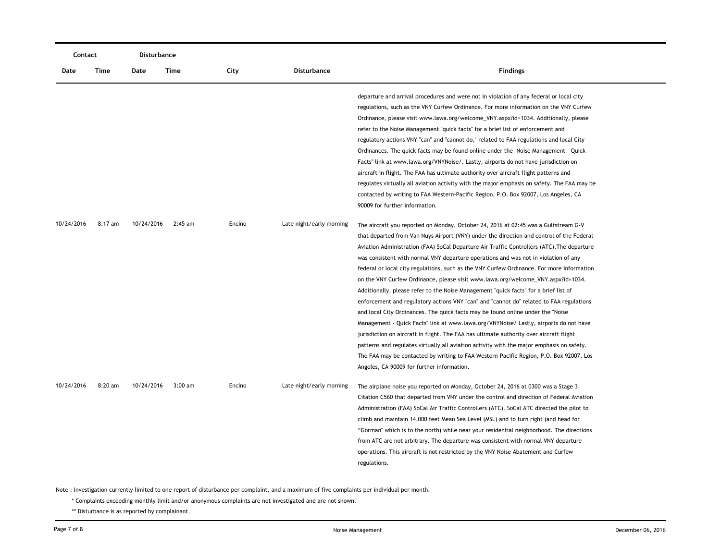| Contact    |           | Disturbance |           |        |                          |                                                                                                                                                                                                                                                                                                                                                                                                                                                                                                                                                                                                                                                                                                                                                                                                                                                                                                                                                                                                                                                                                                                                                                                                                                                       |
|------------|-----------|-------------|-----------|--------|--------------------------|-------------------------------------------------------------------------------------------------------------------------------------------------------------------------------------------------------------------------------------------------------------------------------------------------------------------------------------------------------------------------------------------------------------------------------------------------------------------------------------------------------------------------------------------------------------------------------------------------------------------------------------------------------------------------------------------------------------------------------------------------------------------------------------------------------------------------------------------------------------------------------------------------------------------------------------------------------------------------------------------------------------------------------------------------------------------------------------------------------------------------------------------------------------------------------------------------------------------------------------------------------|
| Date       | Time      | Date        | Time      | City   | <b>Disturbance</b>       | <b>Findings</b>                                                                                                                                                                                                                                                                                                                                                                                                                                                                                                                                                                                                                                                                                                                                                                                                                                                                                                                                                                                                                                                                                                                                                                                                                                       |
|            |           |             |           |        |                          | departure and arrival procedures and were not in violation of any federal or local city<br>regulations, such as the VNY Curfew Ordinance. For more information on the VNY Curfew<br>Ordinance, please visit www.lawa.org/welcome_VNY.aspx?id=1034. Additionally, please<br>refer to the Noise Management "quick facts" for a brief list of enforcement and<br>regulatory actions VNY "can" and "cannot do," related to FAA regulations and local City<br>Ordinances. The quick facts may be found online under the "Noise Management - Quick<br>Facts" link at www.lawa.org/VNYNoise/. Lastly, airports do not have jurisdiction on<br>aircraft in flight. The FAA has ultimate authority over aircraft flight patterns and<br>regulates virtually all aviation activity with the major emphasis on safety. The FAA may be<br>contacted by writing to FAA Western-Pacific Region, P.O. Box 92007, Los Angeles, CA<br>90009 for further information.                                                                                                                                                                                                                                                                                                   |
| 10/24/2016 | $8:17$ am | 10/24/2016  | $2:45$ am | Encino | Late night/early morning | The aircraft you reported on Monday, October 24, 2016 at 02:45 was a Gulfstream G-V<br>that departed from Van Nuys Airport (VNY) under the direction and control of the Federal<br>Aviation Administration (FAA) SoCal Departure Air Traffic Controllers (ATC). The departure<br>was consistent with normal VNY departure operations and was not in violation of any<br>federal or local city regulations, such as the VNY Curfew Ordinance. For more information<br>on the VNY Curfew Ordinance, please visit www.lawa.org/welcome_VNY.aspx?id=1034.<br>Additionally, please refer to the Noise Management "quick facts" for a brief list of<br>enforcement and regulatory actions VNY "can" and "cannot do" related to FAA regulations<br>and local City Ordinances. The quick facts may be found online under the "Noise"<br>Management - Quick Facts" link at www.lawa.org/VNYNoise/ Lastly, airports do not have<br>jurisdiction on aircraft in flight. The FAA has ultimate authority over aircraft flight<br>patterns and regulates virtually all aviation activity with the major emphasis on safety.<br>The FAA may be contacted by writing to FAA Western-Pacific Region, P.O. Box 92007, Los<br>Angeles, CA 90009 for further information. |
| 10/24/2016 | 8:20 am   | 10/24/2016  | $3:00$ am | Encino | Late night/early morning | The airplane noise you reported on Monday, October 24, 2016 at 0300 was a Stage 3<br>Citation C560 that departed from VNY under the control and direction of Federal Aviation<br>Administration (FAA) SoCal Air Traffic Controllers (ATC). SoCal ATC directed the pilot to<br>climb and maintain 14,000 feet Mean Sea Level (MSL) and to turn right (and head for<br>"Gorman" which is to the north) while near your residential neighborhood. The directions<br>from ATC are not arbitrary. The departure was consistent with normal VNY departure<br>operations. This aircraft is not restricted by the VNY Noise Abatement and Curfew<br>regulations.                                                                                                                                                                                                                                                                                                                                                                                                                                                                                                                                                                                              |

\* Complaints exceeding monthly limit and/or anonymous complaints are not investigated and are not shown.